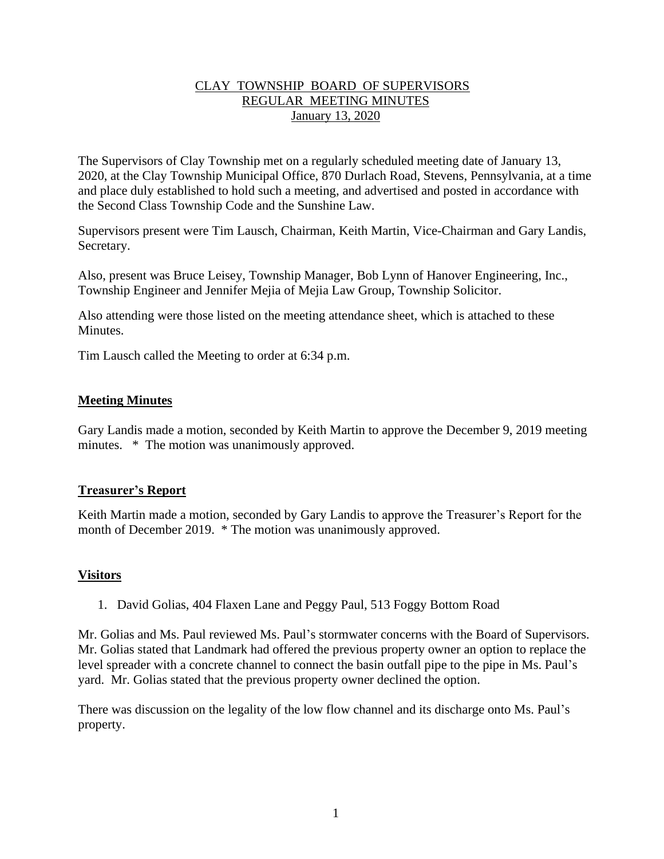## CLAY TOWNSHIP BOARD OF SUPERVISORS REGULAR MEETING MINUTES January 13, 2020

The Supervisors of Clay Township met on a regularly scheduled meeting date of January 13, 2020, at the Clay Township Municipal Office, 870 Durlach Road, Stevens, Pennsylvania, at a time and place duly established to hold such a meeting, and advertised and posted in accordance with the Second Class Township Code and the Sunshine Law.

Supervisors present were Tim Lausch, Chairman, Keith Martin, Vice-Chairman and Gary Landis, Secretary.

Also, present was Bruce Leisey, Township Manager, Bob Lynn of Hanover Engineering, Inc., Township Engineer and Jennifer Mejia of Mejia Law Group, Township Solicitor.

Also attending were those listed on the meeting attendance sheet, which is attached to these **Minutes** 

Tim Lausch called the Meeting to order at 6:34 p.m.

### **Meeting Minutes**

Gary Landis made a motion, seconded by Keith Martin to approve the December 9, 2019 meeting minutes. \* The motion was unanimously approved.

#### **Treasurer's Report**

Keith Martin made a motion, seconded by Gary Landis to approve the Treasurer's Report for the month of December 2019. \* The motion was unanimously approved.

## **Visitors**

1. David Golias, 404 Flaxen Lane and Peggy Paul, 513 Foggy Bottom Road

Mr. Golias and Ms. Paul reviewed Ms. Paul's stormwater concerns with the Board of Supervisors. Mr. Golias stated that Landmark had offered the previous property owner an option to replace the level spreader with a concrete channel to connect the basin outfall pipe to the pipe in Ms. Paul's yard. Mr. Golias stated that the previous property owner declined the option.

There was discussion on the legality of the low flow channel and its discharge onto Ms. Paul's property.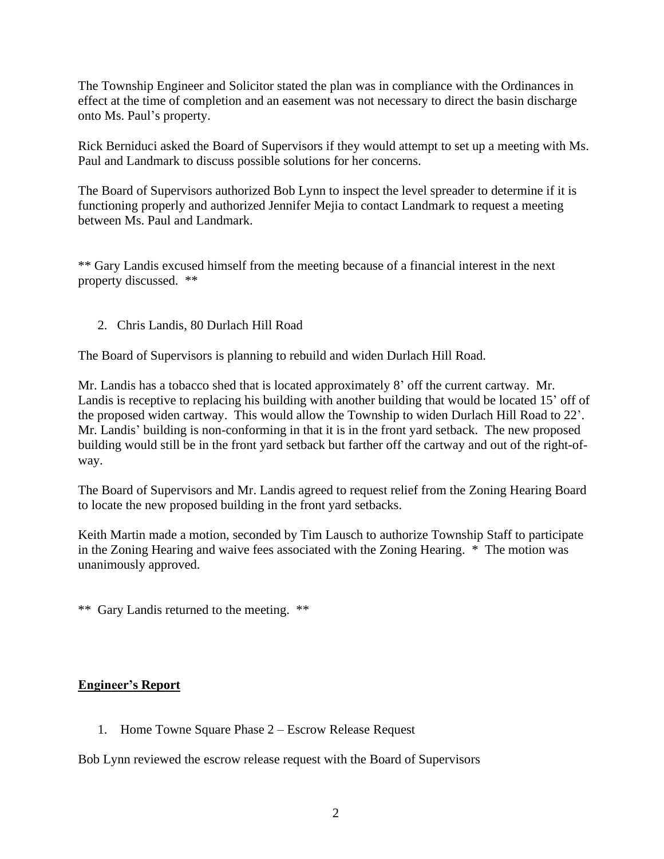The Township Engineer and Solicitor stated the plan was in compliance with the Ordinances in effect at the time of completion and an easement was not necessary to direct the basin discharge onto Ms. Paul's property.

Rick Berniduci asked the Board of Supervisors if they would attempt to set up a meeting with Ms. Paul and Landmark to discuss possible solutions for her concerns.

The Board of Supervisors authorized Bob Lynn to inspect the level spreader to determine if it is functioning properly and authorized Jennifer Mejia to contact Landmark to request a meeting between Ms. Paul and Landmark.

\*\* Gary Landis excused himself from the meeting because of a financial interest in the next property discussed. \*\*

2. Chris Landis, 80 Durlach Hill Road

The Board of Supervisors is planning to rebuild and widen Durlach Hill Road.

Mr. Landis has a tobacco shed that is located approximately 8' off the current cartway. Mr. Landis is receptive to replacing his building with another building that would be located 15' off of the proposed widen cartway. This would allow the Township to widen Durlach Hill Road to 22'. Mr. Landis' building is non-conforming in that it is in the front yard setback. The new proposed building would still be in the front yard setback but farther off the cartway and out of the right-ofway.

The Board of Supervisors and Mr. Landis agreed to request relief from the Zoning Hearing Board to locate the new proposed building in the front yard setbacks.

Keith Martin made a motion, seconded by Tim Lausch to authorize Township Staff to participate in the Zoning Hearing and waive fees associated with the Zoning Hearing. \* The motion was unanimously approved.

\*\* Gary Landis returned to the meeting. \*\*

#### **Engineer's Report**

1. Home Towne Square Phase 2 – Escrow Release Request

Bob Lynn reviewed the escrow release request with the Board of Supervisors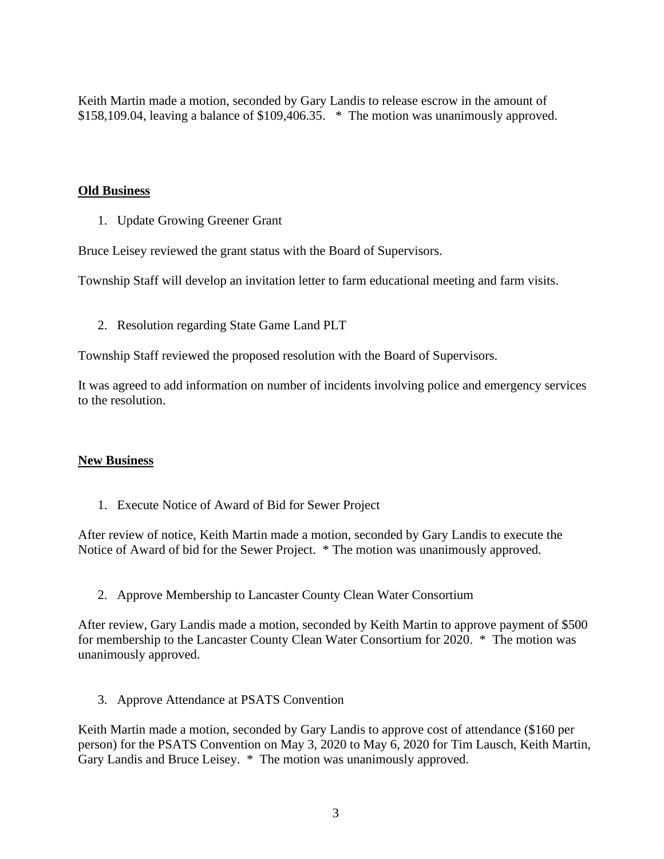Keith Martin made a motion, seconded by Gary Landis to release escrow in the amount of \$158,109.04, leaving a balance of \$109,406.35. \* The motion was unanimously approved.

#### **Old Business**

1. Update Growing Greener Grant

Bruce Leisey reviewed the grant status with the Board of Supervisors.

Township Staff will develop an invitation letter to farm educational meeting and farm visits.

2. Resolution regarding State Game Land PLT

Township Staff reviewed the proposed resolution with the Board of Supervisors.

It was agreed to add information on number of incidents involving police and emergency services to the resolution.

## **New Business**

1. Execute Notice of Award of Bid for Sewer Project

After review of notice, Keith Martin made a motion, seconded by Gary Landis to execute the Notice of Award of bid for the Sewer Project. \* The motion was unanimously approved.

2. Approve Membership to Lancaster County Clean Water Consortium

After review, Gary Landis made a motion, seconded by Keith Martin to approve payment of \$500 for membership to the Lancaster County Clean Water Consortium for 2020. \* The motion was unanimously approved.

3. Approve Attendance at PSATS Convention

Keith Martin made a motion, seconded by Gary Landis to approve cost of attendance (\$160 per person) for the PSATS Convention on May 3, 2020 to May 6, 2020 for Tim Lausch, Keith Martin, Gary Landis and Bruce Leisey. \* The motion was unanimously approved.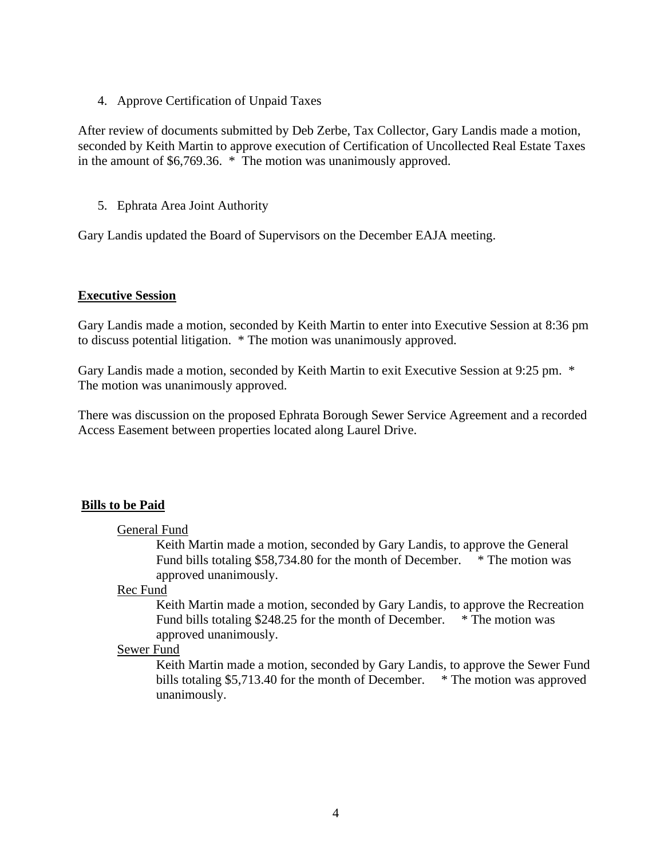4. Approve Certification of Unpaid Taxes

After review of documents submitted by Deb Zerbe, Tax Collector, Gary Landis made a motion, seconded by Keith Martin to approve execution of Certification of Uncollected Real Estate Taxes in the amount of \$6,769.36. \* The motion was unanimously approved.

5. Ephrata Area Joint Authority

Gary Landis updated the Board of Supervisors on the December EAJA meeting.

#### **Executive Session**

Gary Landis made a motion, seconded by Keith Martin to enter into Executive Session at 8:36 pm to discuss potential litigation. \* The motion was unanimously approved.

Gary Landis made a motion, seconded by Keith Martin to exit Executive Session at 9:25 pm. \* The motion was unanimously approved.

There was discussion on the proposed Ephrata Borough Sewer Service Agreement and a recorded Access Easement between properties located along Laurel Drive.

## **Bills to be Paid**

#### General Fund

Keith Martin made a motion, seconded by Gary Landis, to approve the General Fund bills totaling \$58,734.80 for the month of December. \* The motion was approved unanimously.

#### Rec Fund

Keith Martin made a motion, seconded by Gary Landis, to approve the Recreation Fund bills totaling \$248.25 for the month of December. \* The motion was approved unanimously.

# Sewer Fund

Keith Martin made a motion, seconded by Gary Landis, to approve the Sewer Fund bills totaling \$5,713.40 for the month of December. \* The motion was approved unanimously.